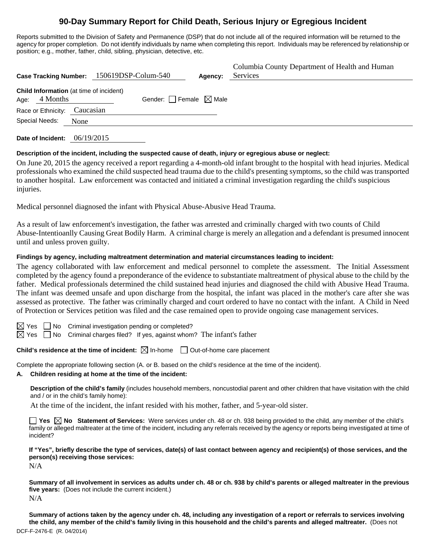# **90-Day Summary Report for Child Death, Serious Injury or Egregious Incident**

Reports submitted to the Division of Safety and Permanence (DSP) that do not include all of the required information will be returned to the agency for proper completion. Do not identify individuals by name when completing this report. Individuals may be referenced by relationship or position; e.g., mother, father, child, sibling, physician, detective, etc.

|                |                                                     |           | Case Tracking Number: 150619DSP-Colum-540 |                                 | Agency: | Columbia County Department of Health and Human<br>Services |
|----------------|-----------------------------------------------------|-----------|-------------------------------------------|---------------------------------|---------|------------------------------------------------------------|
| Age:           | Child Information (at time of incident)<br>4 Months |           |                                           | Gender: Female $\boxtimes$ Male |         |                                                            |
|                | Race or Ethnicity:                                  | Caucasian |                                           |                                 |         |                                                            |
| Special Needs: |                                                     | None      |                                           |                                 |         |                                                            |
|                |                                                     |           |                                           |                                 |         |                                                            |

**Date of Incident:** 06/19/2015

# **Description of the incident, including the suspected cause of death, injury or egregious abuse or neglect:**

On June 20, 2015 the agency received a report regarding a 4-month-old infant brought to the hospital with head injuries. Medical professionals who examined the child suspected head trauma due to the child's presenting symptoms, so the child was transported to another hospital. Law enforcement was contacted and initiated a criminal investigation regarding the child's suspicious injuries.

Medical personnel diagnosed the infant with Physical Abuse-Abusive Head Trauma.

As a result of law enforcement's investigation, the father was arrested and criminally charged with two counts of Child Abuse-Intentioanlly Causing Great Bodily Harm. A criminal charge is merely an allegation and a defendant is presumed innocent until and unless proven guilty.

# **Findings by agency, including maltreatment determination and material circumstances leading to incident:**

The agency collaborated with law enforcement and medical personnel to complete the assessment. The Initial Assessment completed by the agency found a preponderance of the evidence to substantiate maltreatment of physical abuse to the child by the father. Medical professionals determined the child sustained head injuries and diagnosed the child with Abusive Head Trauma. The infant was deemed unsafe and upon discharge from the hospital, the infant was placed in the mother's care after she was assessed as protective. The father was criminally charged and court ordered to have no contact with the infant. A Child in Need of Protection or Services petition was filed and the case remained open to provide ongoing case management services.

 $\boxtimes$  Yes  $\Box$  No Criminal investigation pending or completed?

 $\boxtimes$  Yes  $\Box$  No Criminal charges filed? If yes, against whom? The infant's father

**Child's residence at the time of incident:**  $\boxtimes$  In-home  $\Box$  Out-of-home care placement

Complete the appropriate following section (A. or B. based on the child's residence at the time of the incident).

### **A. Children residing at home at the time of the incident:**

**Description of the child's family** (includes household members, noncustodial parent and other children that have visitation with the child and / or in the child's family home):

At the time of the incident, the infant resided with his mother, father, and 5-year-old sister.

**Yes No Statement of Services:** Were services under ch. 48 or ch. 938 being provided to the child, any member of the child's family or alleged maltreater at the time of the incident, including any referrals received by the agency or reports being investigated at time of incident?

**If "Yes", briefly describe the type of services, date(s) of last contact between agency and recipient(s) of those services, and the person(s) receiving those services:** 

N/A

**Summary of all involvement in services as adults under ch. 48 or ch. 938 by child's parents or alleged maltreater in the previous five years:** (Does not include the current incident.) N/A

DCF-F-2476-E (R. 04/2014) **Summary of actions taken by the agency under ch. 48, including any investigation of a report or referrals to services involving the child, any member of the child's family living in this household and the child's parents and alleged maltreater.** (Does not